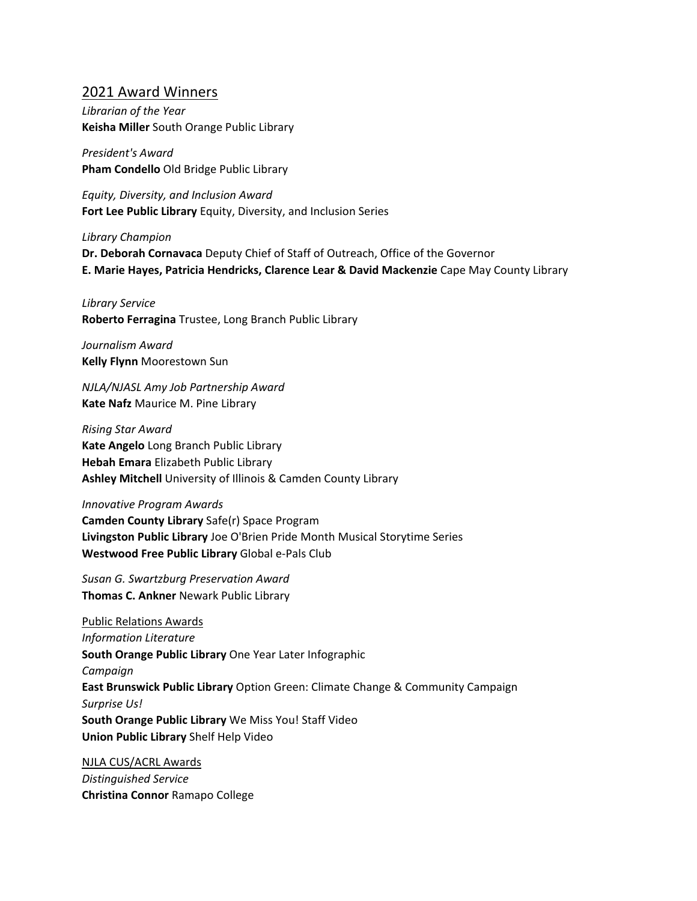## 2021 Award Winners

*Librarian of the Year* **Keisha Miller** South Orange Public Library

*President's Award* **Pham Condello** Old Bridge Public Library

*Equity, Diversity, and Inclusion Award* **Fort Lee Public Library** Equity, Diversity, and Inclusion Series

*Library Champion*

**Dr. Deborah Cornavaca** Deputy Chief of Staff of Outreach, Office of the Governor **E. Marie Hayes, Patricia Hendricks, Clarence Lear & David Mackenzie** Cape May County Library

*Library Service* **Roberto Ferragina** Trustee, Long Branch Public Library

*Journalism Award* **Kelly Flynn** Moorestown Sun

*NJLA/NJASL Amy Job Partnership Award* **Kate Nafz** Maurice M. Pine Library

*Rising Star Award* **Kate Angelo** Long Branch Public Library **Hebah Emara** Elizabeth Public Library **Ashley Mitchell** University of Illinois & Camden County Library

*Innovative Program Awards*

**Camden County Library** Safe(r) Space Program **Livingston Public Library** Joe O'Brien Pride Month Musical Storytime Series **Westwood Free Public Library** Global e-Pals Club

*Susan G. Swartzburg Preservation Award* **Thomas C. Ankner** Newark Public Library

Public Relations Awards *Information Literature* **South Orange Public Library** One Year Later Infographic *Campaign* **East Brunswick Public Library** Option Green: Climate Change & Community Campaign *Surprise Us!* **South Orange Public Library** We Miss You! Staff Video **Union Public Library** Shelf Help Video

NJLA CUS/ACRL Awards *Distinguished Service* **Christina Connor** Ramapo College